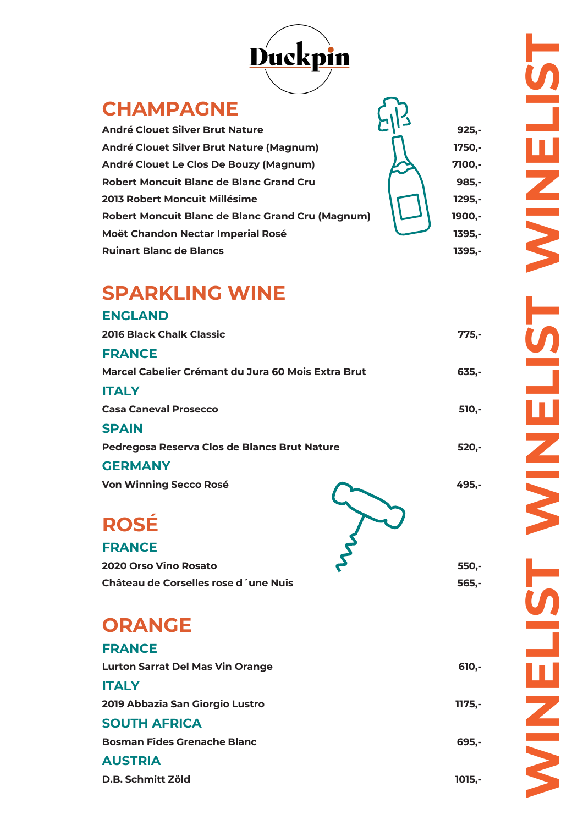

## **CHAMPAGNE**

**André Clouet Silver Brut Nature 925, André Clouet Silver Brut Nature (Magnum) 1750, André Clouet Le Clos De Bouzy (Magnum) 7100, Robert Moncuit Blanc de Blanc Grand Cru 2013 Robert Moncuit Millésime 1295, Robert Moncuit Blanc de Blanc Grand Cru (Magnum) Moët Chandon Nectar Imperial Rosé Ruinart Blanc de Blancs** 

# **- - - -**

**- - - -**

## **SPARKLING WINE**

| <b>ENGLAND</b>                                     |          |
|----------------------------------------------------|----------|
| <b>2016 Black Chalk Classic</b>                    | $775,-$  |
| <b>FRANCE</b>                                      |          |
| Marcel Cabelier Crémant du Jura 60 Mois Extra Brut | $635,-$  |
| <b>ITALY</b>                                       |          |
| <b>Casa Caneval Prosecco</b>                       | 510,-    |
| <b>SPAIN</b>                                       |          |
| Pedregosa Reserva Clos de Blancs Brut Nature       | $520,-$  |
| <b>GERMANY</b>                                     |          |
| <b>Von Winning Secco Rosé</b>                      | 495,-    |
| <b>ROSÉ</b>                                        |          |
| <b>FRANCE</b>                                      |          |
| 2020 Orso Vino Rosato                              | 550,-    |
| Château de Corselles rose d'une Nuis               | 565,-    |
| <b>ORANGE</b>                                      |          |
| <b>FRANCE</b>                                      |          |
| <b>Lurton Sarrat Del Mas Vin Orange</b>            | $610,-$  |
| <b>ITALY</b>                                       |          |
| 2019 Abbazia San Giorgio Lustro                    | $1175,-$ |
| <b>SOUTH AFRICA</b>                                |          |
| <b>Bosman Fides Grenache Blanc</b>                 | 695,-    |

**AUSTRIA**

**D.B. Schmitt Zöld 1015,**

**-**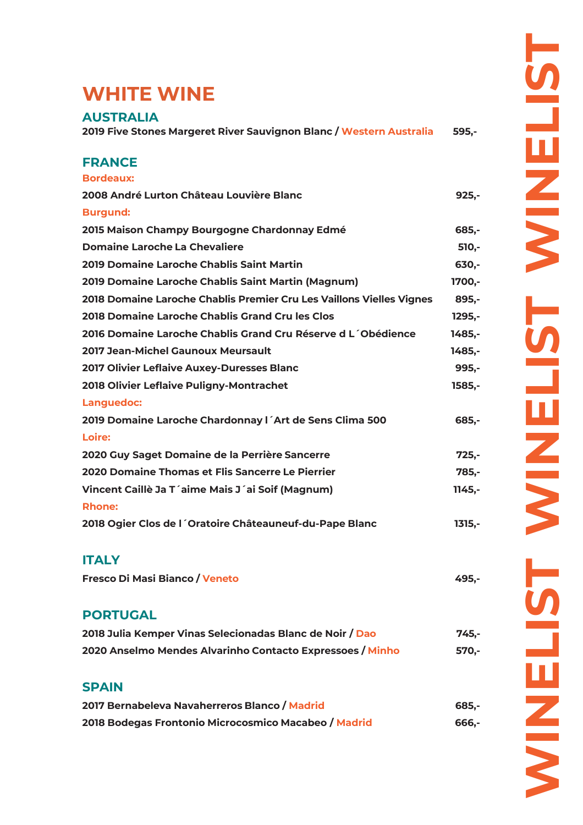## **WHITE WINE**

### **AUSTRALIA**

**2019 Five Stones Margeret River Sauvignon Blanc / Western Australia 595,-**

### **FRANCE**

| <b>Bordeaux:</b>                                                     |           |
|----------------------------------------------------------------------|-----------|
| 2008 André Lurton Château Louvière Blanc                             | $925,-$   |
| <b>Burgund:</b>                                                      |           |
| 2015 Maison Champy Bourgogne Chardonnay Edmé                         | 685,-     |
| <b>Domaine Laroche La Chevaliere</b>                                 | 510,-     |
| 2019 Domaine Laroche Chablis Saint Martin                            | 630,-     |
| 2019 Domaine Laroche Chablis Saint Martin (Magnum)                   | 1700,-    |
| 2018 Domaine Laroche Chablis Premier Cru Les Vaillons Vielles Vignes | 895,-     |
| 2018 Domaine Laroche Chablis Grand Cru les Clos                      | 1295,-    |
| 2016 Domaine Laroche Chablis Grand Cru Réserve d L'Obédience         | 1485,-    |
| <b>2017 Jean-Michel Gaunoux Meursault</b>                            | 1485,-    |
| <b>2017 Olivier Leflaive Auxey-Duresses Blanc</b>                    | 995,-     |
| 2018 Olivier Leflaive Puligny-Montrachet                             | 1585,-    |
| Languedoc:                                                           |           |
| 2019 Domaine Laroche Chardonnay I Art de Sens Clima 500              | 685,-     |
| Loire:                                                               |           |
| 2020 Guy Saget Domaine de la Perrière Sancerre                       | $725, -$  |
| 2020 Domaine Thomas et Flis Sancerre Le Pierrier                     | 785,-     |
| Vincent Caillè Ja T'aime Mais J'ai Soif (Magnum)                     | $1145, -$ |
| <b>Rhone:</b>                                                        |           |
| 2018 Ogier Clos de l'Oratoire Châteauneuf-du-Pape Blanc              | $1315,-$  |

### **ITALY**

| <b>Fresco Di Masi Bianco / Veneto</b> | 495,- |
|---------------------------------------|-------|
|---------------------------------------|-------|

### **PORTUGAL**

| 2018 Julia Kemper Vinas Selecionadas Blanc de Noir / Dao  | $745. -$ |
|-----------------------------------------------------------|----------|
| 2020 Anselmo Mendes Alvarinho Contacto Expressoes / Minho | 570.-    |

### **SPAIN**

| 2017 Bernabeleva Navaherreros Blanco / Madrid        | 685.- |
|------------------------------------------------------|-------|
| 2018 Bodegas Frontonio Microcosmico Macabeo / Madrid | 666,- |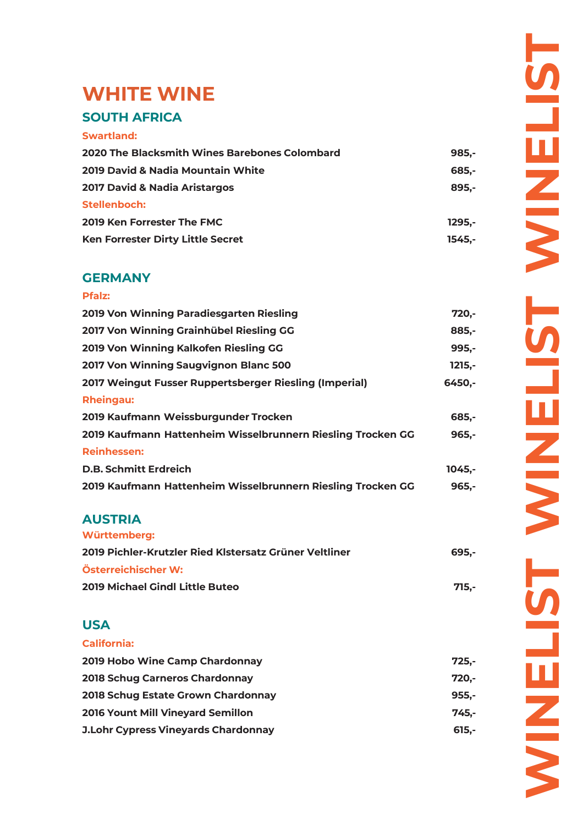## **WHITE WINE SOUTH AFRICA**

#### **Swartland:**

| 2020 The Blacksmith Wines Barebones Colombard | $985 -$ |
|-----------------------------------------------|---------|
| 2019 David & Nadia Mountain White             | 685.-   |
| <b>2017 David &amp; Nadia Aristargos</b>      | 895.-   |
| Stellenboch:                                  |         |
| 2019 Ken Forrester The FMC                    | 1295.-  |
| Ken Forrester Dirty Little Secret             | 1545.-  |

#### **GERMANY**

## **Pfalz: 2019 Von Winning Paradiesgarten Riesling 720,- 2017 Von Winning Grainhübel Riesling GG 885,- 2019 Von Winning Kalkofen Riesling GG 995,- 2017 Von Winning Saugvignon Blanc 500 1215,- 2017 Weingut Fusser Ruppertsberger Riesling (Imperial) 6450,- Rheingau: 2019 Kaufmann Weissburgunder Trocken 685,- 2019 Kaufmann Hattenheim Wisselbrunnern Riesling Trocken GG 965,- Reinhessen: D.B. Schmitt Erdreich 1045,- 2019 Kaufmann Hattenheim Wisselbrunnern Riesling Trocken GG 965,-**

#### **AUSTRIA Württemberg:**

| wurttemberg:                                           |       |
|--------------------------------------------------------|-------|
| 2019 Pichler-Krutzler Ried Klstersatz Grüner Veltliner | 695.- |
| Österreichischer W:                                    |       |
| <b>2019 Michael Gindl Little Buteo</b>                 | 715.- |

### **USA**

**California:**

| 2019 Hobo Wine Camp Chardonnay             | 725.-    |
|--------------------------------------------|----------|
| 2018 Schug Carneros Chardonnay             | 720.-    |
| 2018 Schug Estate Grown Chardonnay         | 955.-    |
| <b>2016 Yount Mill Vineyard Semillon</b>   | 745.-    |
| <b>J.Lohr Cypress Vineyards Chardonnay</b> | $615. -$ |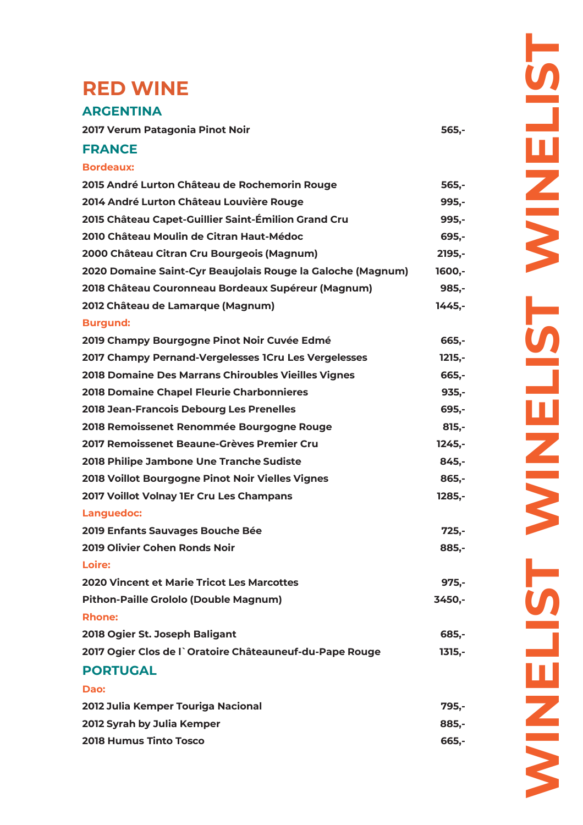## **RED WINE**

#### **ARGENTINA**

| 2017 Verum Patagonia Pinot Noir | 565,- |
|---------------------------------|-------|
|---------------------------------|-------|

#### **FRANCE**

| <b>Bordeaux:</b>                                            |          |
|-------------------------------------------------------------|----------|
| 2015 André Lurton Château de Rochemorin Rouge               | $565,-$  |
| 2014 André Lurton Château Louvière Rouge                    | $995,-$  |
| 2015 Château Capet-Guillier Saint-Émilion Grand Cru         | 995,-    |
| 2010 Château Moulin de Citran Haut-Médoc                    | $695 -$  |
| 2000 Château Citran Cru Bourgeois (Magnum)                  | $2195,-$ |
| 2020 Domaine Saint-Cyr Beaujolais Rouge la Galoche (Magnum) | 1600,-   |
| 2018 Château Couronneau Bordeaux Supéreur (Magnum)          | $985,-$  |
| 2012 Château de Lamarque (Magnum)                           | $1445,-$ |
| <b>Burgund:</b>                                             |          |
| 2019 Champy Bourgogne Pinot Noir Cuvée Edmé                 | $665 -$  |
| 2017 Champy Pernand-Vergelesses 1Cru Les Vergelesses        | $1215,-$ |
| 2018 Domaine Des Marrans Chiroubles Vieilles Vignes         | 665,-    |
| <b>2018 Domaine Chapel Fleurie Charbonnieres</b>            | $935,-$  |
| 2018 Jean-Francois Debourg Les Prenelles                    | 695,-    |
| 2018 Remoissenet Renommée Bourgogne Rouge                   | $815,-$  |
| 2017 Remoissenet Beaune-Grèves Premier Cru                  | $1245,-$ |
| 2018 Philipe Jambone Une Tranche Sudiste                    | $845,-$  |
| 2018 Voillot Bourgogne Pinot Noir Vielles Vignes            | $865,-$  |
| 2017 Voillot Volnay 1Er Cru Les Champans                    | 1285,-   |
| Languedoc:                                                  |          |
| 2019 Enfants Sauvages Bouche Bée                            | $725 -$  |
| 2019 Olivier Cohen Ronds Noir                               | 885,-    |
| Loire:                                                      |          |
| <b>2020 Vincent et Marie Tricot Les Marcottes</b>           | $975,-$  |
| Pithon-Paille Grololo (Double Magnum)                       | 3450,-   |
| <b>Rhone:</b>                                               |          |
| 2018 Ogier St. Joseph Baligant                              | 685,-    |
| 2017 Ogier Clos de l'Oratoire Châteauneuf-du-Pape Rouge     | $1315,-$ |
| <b>PORTUGAL</b>                                             |          |
| Dao:                                                        |          |
| 2012 Julia Kemper Touriga Nacional                          | 795,-    |

**2012 Syrah by Julia Kemper 885,- 2018 Humus Tinto Tosco 665,-**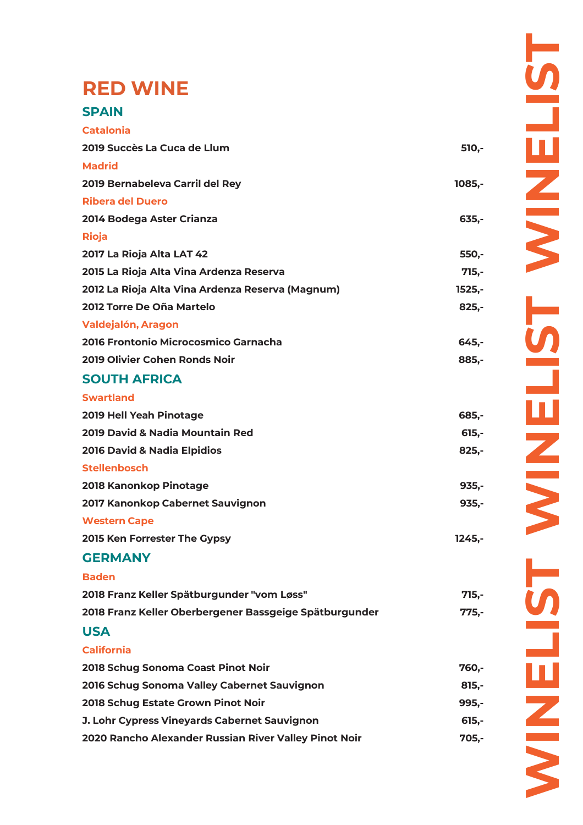## **RED WINE**

| <b>Catalonia</b>                                       |           |
|--------------------------------------------------------|-----------|
| 2019 Succès La Cuca de Llum                            | $510,-$   |
| <b>Madrid</b>                                          |           |
| 2019 Bernabeleva Carril del Rey                        | $1085,-$  |
| <b>Ribera del Duero</b>                                |           |
| 2014 Bodega Aster Crianza                              | $635,-$   |
| <b>Rioja</b>                                           |           |
| 2017 La Rioja Alta LAT 42                              | $550 -$   |
| 2015 La Rioja Alta Vina Ardenza Reserva                | $715,-$   |
| 2012 La Rioja Alta Vina Ardenza Reserva (Magnum)       | $1525,-$  |
| 2012 Torre De Oña Martelo                              | $825,-$   |
| <b>Valdejalón, Aragon</b>                              |           |
| 2016 Frontonio Microcosmico Garnacha                   | $645 -$   |
| 2019 Olivier Cohen Ronds Noir                          | 885,-     |
| <b>SOUTH AFRICA</b>                                    |           |
| <b>Swartland</b>                                       |           |
| 2019 Hell Yeah Pinotage                                | 685,-     |
| 2019 David & Nadia Mountain Red                        | $615,-$   |
| 2016 David & Nadia Elpidios                            | $825,-$   |
| <b>Stellenbosch</b>                                    |           |
| 2018 Kanonkop Pinotage                                 | $935 -$   |
| 2017 Kanonkop Cabernet Sauvignon                       | $935,-$   |
| <b>Western Cape</b>                                    |           |
| 2015 Ken Forrester The Gypsy                           | $1245, -$ |
| <b>GERMANY</b>                                         |           |
| <b>Baden</b>                                           |           |
| 2018 Franz Keller Spätburgunder "vom Løss"             | $715,-$   |
| 2018 Franz Keller Oberbergener Bassgeige Spätburgunder | $775,-$   |
| <b>USA</b>                                             |           |
| <b>California</b>                                      |           |
| 2018 Schug Sonoma Coast Pinot Noir                     | 760,-     |
| 2016 Schug Sonoma Valley Cabernet Sauvignon            | $815 -$   |
| 2018 Schug Estate Grown Pinot Noir                     | $995 -$   |
| J. Lohr Cypress Vineyards Cabernet Sauvignon           | $615,-$   |
| 2020 Rancho Alexander Russian River Valley Pinot Noir  | $705 -$   |